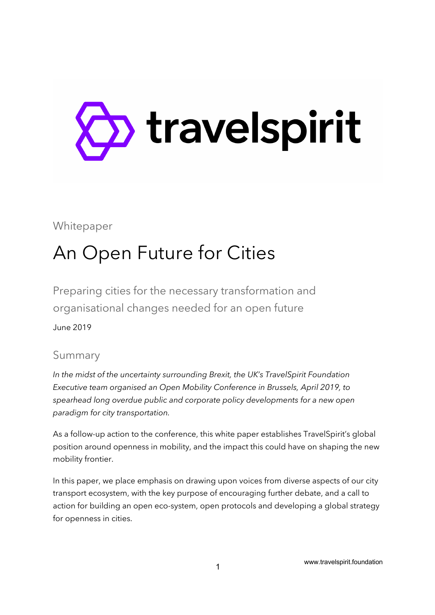

### Whitepaper

# An Open Future for Cities

Preparing cities for the necessary transformation and organisational changes needed for an open future

June 2019

### Summary

*In the midst of the uncertainty surrounding Brexit, the UK's TravelSpirit Foundation Executive team organised an Open Mobility Conference in Brussels, April 2019, to spearhead long overdue public and corporate policy developments for a new open paradigm for city transportation.* 

As a follow-up action to the conference, this white paper establishes TravelSpirit's global position around openness in mobility, and the impact this could have on shaping the new mobility frontier.

In this paper, we place emphasis on drawing upon voices from diverse aspects of our city transport ecosystem, with the key purpose of encouraging further debate, and a call to action for building an open eco-system, open protocols and developing a global strategy for openness in cities.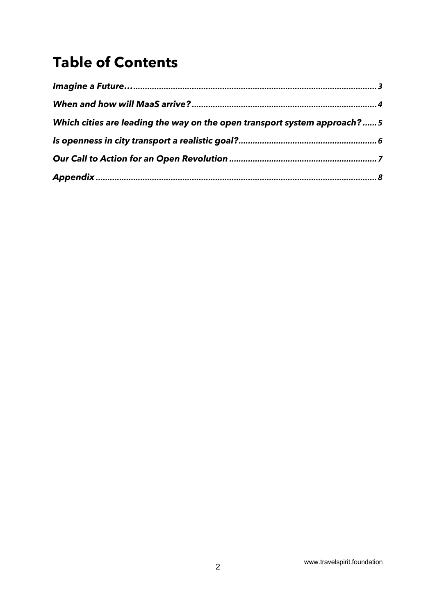## **Table of Contents**

| Which cities are leading the way on the open transport system approach? 5 |  |  |
|---------------------------------------------------------------------------|--|--|
|                                                                           |  |  |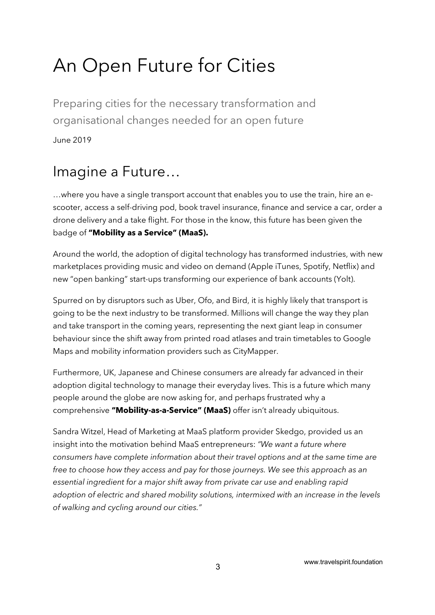# An Open Future for Cities

Preparing cities for the necessary transformation and organisational changes needed for an open future June 2019

## Imagine a Future…

…where you have a single transport account that enables you to use the train, hire an escooter, access a self-driving pod, book travel insurance, finance and service a car, order a drone delivery and a take flight. For those in the know, this future has been given the badge of **"Mobility as a Service" (MaaS).**

Around the world, the adoption of digital technology has transformed industries, with new marketplaces providing music and video on demand (Apple iTunes, Spotify, Netflix) and new "open banking" start-ups transforming our experience of bank accounts (Yolt).

Spurred on by disruptors such as Uber, Ofo, and Bird, it is highly likely that transport is going to be the next industry to be transformed. Millions will change the way they plan and take transport in the coming years, representing the next giant leap in consumer behaviour since the shift away from printed road atlases and train timetables to Google Maps and mobility information providers such as CityMapper.

Furthermore, UK, Japanese and Chinese consumers are already far advanced in their adoption digital technology to manage their everyday lives. This is a future which many people around the globe are now asking for, and perhaps frustrated why a comprehensive **"Mobility-as-a-Service" (MaaS)** offer isn't already ubiquitous.

Sandra Witzel, Head of Marketing at MaaS platform provider Skedgo, provided us an insight into the motivation behind MaaS entrepreneurs: *"We want a future where consumers have complete information about their travel options and at the same time are free to choose how they access and pay for those journeys. We see this approach as an essential ingredient for a major shift away from private car use and enabling rapid adoption of electric and shared mobility solutions, intermixed with an increase in the levels of walking and cycling around our cities."*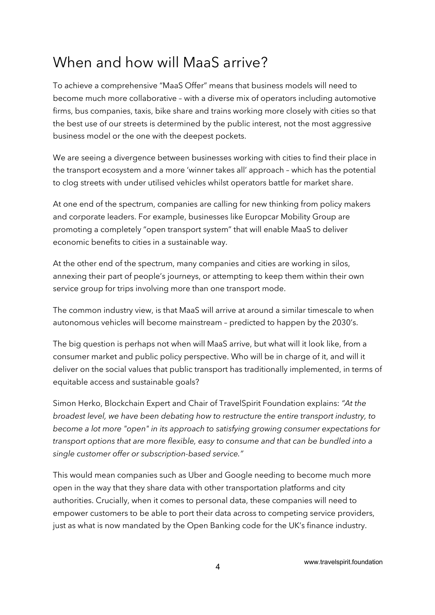## When and how will MaaS arrive?

To achieve a comprehensive "MaaS Offer" means that business models will need to become much more collaborative – with a diverse mix of operators including automotive firms, bus companies, taxis, bike share and trains working more closely with cities so that the best use of our streets is determined by the public interest, not the most aggressive business model or the one with the deepest pockets.

We are seeing a divergence between businesses working with cities to find their place in the transport ecosystem and a more 'winner takes all' approach – which has the potential to clog streets with under utilised vehicles whilst operators battle for market share.

At one end of the spectrum, companies are calling for new thinking from policy makers and corporate leaders. For example, businesses like Europcar Mobility Group are promoting a completely "open transport system" that will enable MaaS to deliver economic benefits to cities in a sustainable way.

At the other end of the spectrum, many companies and cities are working in silos, annexing their part of people's journeys, or attempting to keep them within their own service group for trips involving more than one transport mode.

The common industry view, is that MaaS will arrive at around a similar timescale to when autonomous vehicles will become mainstream – predicted to happen by the 2030's.

The big question is perhaps not when will MaaS arrive, but what will it look like, from a consumer market and public policy perspective. Who will be in charge of it, and will it deliver on the social values that public transport has traditionally implemented, in terms of equitable access and sustainable goals?

Simon Herko, Blockchain Expert and Chair of TravelSpirit Foundation explains: *"At the broadest level, we have been debating how to restructure the entire transport industry, to become a lot more "open" in its approach to satisfying growing consumer expectations for transport options that are more flexible, easy to consume and that can be bundled into a single customer offer or subscription-based service."*

This would mean companies such as Uber and Google needing to become much more open in the way that they share data with other transportation platforms and city authorities. Crucially, when it comes to personal data, these companies will need to empower customers to be able to port their data across to competing service providers, just as what is now mandated by the Open Banking code for the UK's finance industry.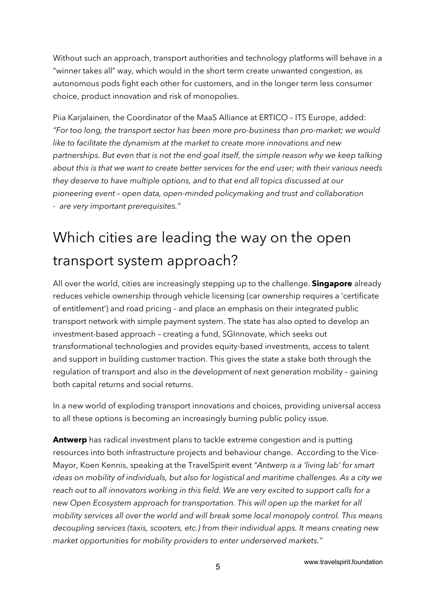Without such an approach, transport authorities and technology platforms will behave in a "winner takes all" way, which would in the short term create unwanted congestion, as autonomous pods fight each other for customers, and in the longer term less consumer choice, product innovation and risk of monopolies.

Piia Karjalainen, the Coordinator of the MaaS Alliance at ERTICO – ITS Europe, added: *"For too long, the transport sector has been more pro-business than pro-market; we would like to facilitate the dynamism at the market to create more innovations and new partnerships. But even that is not the end goal itself, the simple reason why we keep talking about this is that we want to create better services for the end user; with their various needs they deserve to have multiple options, and to that end all topics discussed at our pioneering event – open data, open-minded policymaking and trust and collaboration - are very important prerequisites."*

## Which cities are leading the way on the open transport system approach?

All over the world, cities are increasingly stepping up to the challenge. **Singapore** already reduces vehicle ownership through vehicle licensing (car ownership requires a 'certificate of entitlement') and road pricing – and place an emphasis on their integrated public transport network with simple payment system. The state has also opted to develop an investment-based approach – creating a fund, SGInnovate, which seeks out transformational technologies and provides equity-based investments, access to talent and support in building customer traction. This gives the state a stake both through the regulation of transport and also in the development of next generation mobility – gaining both capital returns and social returns.

In a new world of exploding transport innovations and choices, providing universal access to all these options is becoming an increasingly burning public policy issue.

**Antwerp** has radical investment plans to tackle extreme congestion and is putting resources into both infrastructure projects and behaviour change. According to the Vice-Mayor, Koen Kennis, speaking at the TravelSpirit event *"Antwerp is a 'living lab' for smart ideas on mobility of individuals, but also for logistical and maritime challenges. As a city we reach out to all innovators working in this field. We are very excited to support calls for a new Open Ecosystem approach for transportation. This will open up the market for all mobility services all over the world and will break some local monopoly control. This means decoupling services (taxis, scooters, etc.) from their individual apps. It means creating new market opportunities for mobility providers to enter underserved markets."*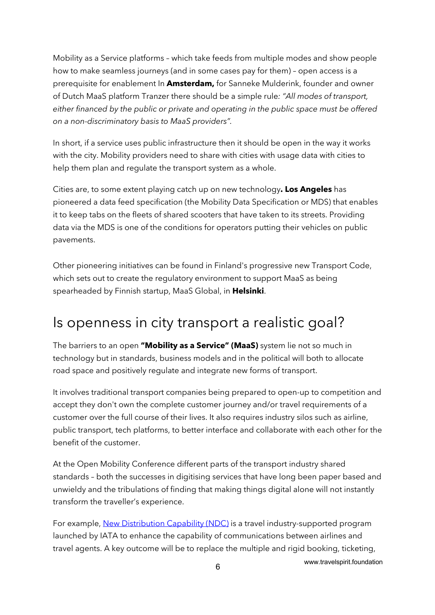Mobility as a Service platforms – which take feeds from multiple modes and show people how to make seamless journeys (and in some cases pay for them) – open access is a prerequisite for enablement In **Amsterdam,** for Sanneke Mulderink, founder and owner of Dutch MaaS platform Tranzer there should be a simple rule*: "All modes of transport, either financed by the public or private and operating in the public space must be offered on a non-discriminatory basis to MaaS providers".*

In short, if a service uses public infrastructure then it should be open in the way it works with the city. Mobility providers need to share with cities with usage data with cities to help them plan and regulate the transport system as a whole.

Cities are, to some extent playing catch up on new technology**. Los Angeles** has pioneered a data feed specification (the Mobility Data Specification or MDS) that enables it to keep tabs on the fleets of shared scooters that have taken to its streets. Providing data via the MDS is one of the conditions for operators putting their vehicles on public pavements.

Other pioneering initiatives can be found in Finland's progressive new Transport Code, which sets out to create the regulatory environment to support MaaS as being spearheaded by Finnish startup, MaaS Global, in **Helsinki**.

### Is openness in city transport a realistic goal?

The barriers to an open **"Mobility as a Service" (MaaS)** system lie not so much in technology but in standards, business models and in the political will both to allocate road space and positively regulate and integrate new forms of transport.

It involves traditional transport companies being prepared to open-up to competition and accept they don't own the complete customer journey and/or travel requirements of a customer over the full course of their lives. It also requires industry silos such as airline, public transport, tech platforms, to better interface and collaborate with each other for the benefit of the customer.

At the Open Mobility Conference different parts of the transport industry shared standards – both the successes in digitising services that have long been paper based and unwieldy and the tribulations of finding that making things digital alone will not instantly transform the traveller's experience.

For example, New Distribution Capability (NDC) is a travel industry-supported program launched by IATA to enhance the capability of communications between airlines and travel agents. A key outcome will be to replace the multiple and rigid booking, ticketing,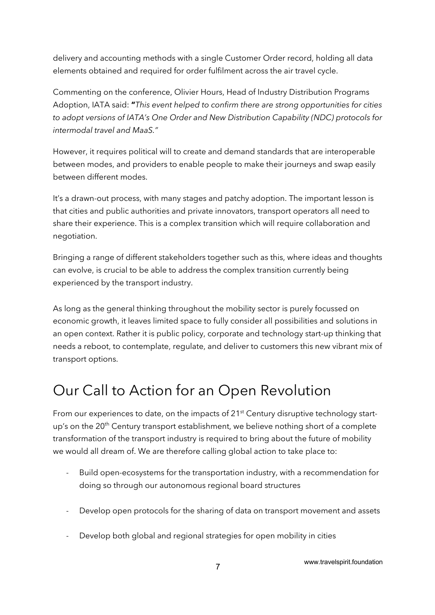delivery and accounting methods with a single Customer Order record, holding all data elements obtained and required for order fulfilment across the air travel cycle.

Commenting on the conference, Olivier Hours, Head of Industry Distribution Programs Adoption, IATA said: **"***This event helped to confirm there are strong opportunities for cities to adopt versions of IATA's One Order and New Distribution Capability (NDC) protocols for intermodal travel and MaaS."*

However, it requires political will to create and demand standards that are interoperable between modes, and providers to enable people to make their journeys and swap easily between different modes.

It's a drawn-out process, with many stages and patchy adoption. The important lesson is that cities and public authorities and private innovators, transport operators all need to share their experience. This is a complex transition which will require collaboration and negotiation.

Bringing a range of different stakeholders together such as this, where ideas and thoughts can evolve, is crucial to be able to address the complex transition currently being experienced by the transport industry.

As long as the general thinking throughout the mobility sector is purely focussed on economic growth, it leaves limited space to fully consider all possibilities and solutions in an open context. Rather it is public policy, corporate and technology start-up thinking that needs a reboot, to contemplate, regulate, and deliver to customers this new vibrant mix of transport options.

## Our Call to Action for an Open Revolution

From our experiences to date, on the impacts of 21<sup>st</sup> Century disruptive technology startup's on the 20<sup>th</sup> Century transport establishment, we believe nothing short of a complete transformation of the transport industry is required to bring about the future of mobility we would all dream of. We are therefore calling global action to take place to:

- Build open-ecosystems for the transportation industry, with a recommendation for doing so through our autonomous regional board structures
- Develop open protocols for the sharing of data on transport movement and assets
- Develop both global and regional strategies for open mobility in cities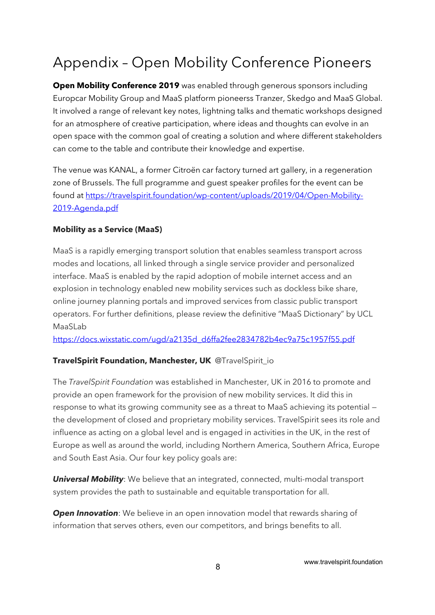## Appendix – Open Mobility Conference Pioneers

**Open Mobility Conference 2019** was enabled through generous sponsors including Europcar Mobility Group and MaaS platform pioneerss Tranzer, Skedgo and MaaS Global. It involved a range of relevant key notes, lightning talks and thematic workshops designed for an atmosphere of creative participation, where ideas and thoughts can evolve in an open space with the common goal of creating a solution and where different stakeholders can come to the table and contribute their knowledge and expertise.

The venue was KANAL, a former Citroën car factory turned art gallery, in a regeneration zone of Brussels. The full programme and guest speaker profiles for the event can be found at https://travelspirit.foundation/wp-content/uploads/2019/04/Open-Mobility-2019-Agenda.pdf

#### **Mobility as a Service (MaaS)**

MaaS is a rapidly emerging transport solution that enables seamless transport across modes and locations, all linked through a single service provider and personalized interface. MaaS is enabled by the rapid adoption of mobile internet access and an explosion in technology enabled new mobility services such as dockless bike share, online journey planning portals and improved services from classic public transport operators. For further definitions, please review the definitive "MaaS Dictionary" by UCL MaaSLab

https://docs.wixstatic.com/ugd/a2135d\_d6ffa2fee2834782b4ec9a75c1957f55.pdf

#### **TravelSpirit Foundation, Manchester, UK** @TravelSpirit\_io

The *TravelSpirit Foundation* was established in Manchester, UK in 2016 to promote and provide an open framework for the provision of new mobility services. It did this in response to what its growing community see as a threat to MaaS achieving its potential the development of closed and proprietary mobility services. TravelSpirit sees its role and influence as acting on a global level and is engaged in activities in the UK, in the rest of Europe as well as around the world, including Northern America, Southern Africa, Europe and South East Asia. Our four key policy goals are:

*Universal Mobility*: We believe that an integrated, connected, multi-modal transport system provides the path to sustainable and equitable transportation for all.

**Open Innovation**: We believe in an open innovation model that rewards sharing of information that serves others, even our competitors, and brings benefits to all.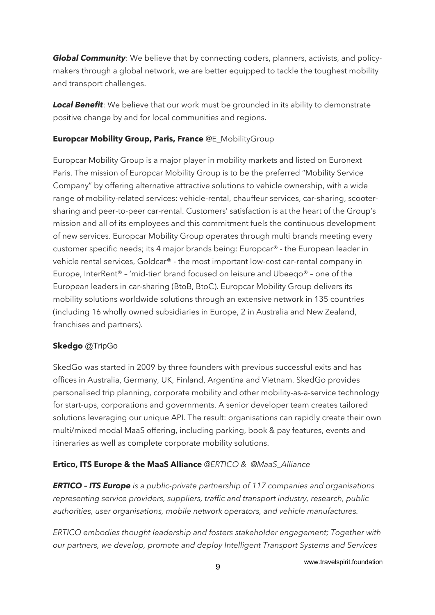**Global Community**: We believe that by connecting coders, planners, activists, and policymakers through a global network, we are better equipped to tackle the toughest mobility and transport challenges.

**Local Benefit**: We believe that our work must be grounded in its ability to demonstrate positive change by and for local communities and regions.

#### **Europcar Mobility Group, Paris, France** @E\_MobilityGroup

Europcar Mobility Group is a major player in mobility markets and listed on Euronext Paris. The mission of Europcar Mobility Group is to be the preferred "Mobility Service Company" by offering alternative attractive solutions to vehicle ownership, with a wide range of mobility-related services: vehicle-rental, chauffeur services, car-sharing, scootersharing and peer-to-peer car-rental. Customers' satisfaction is at the heart of the Group's mission and all of its employees and this commitment fuels the continuous development of new services. Europcar Mobility Group operates through multi brands meeting every customer specific needs; its 4 major brands being: Europcar® - the European leader in vehicle rental services, Goldcar® - the most important low-cost car-rental company in Europe, InterRent® – 'mid-tier' brand focused on leisure and Ubeeqo® – one of the European leaders in car-sharing (BtoB, BtoC). Europcar Mobility Group delivers its mobility solutions worldwide solutions through an extensive network in 135 countries (including 16 wholly owned subsidiaries in Europe, 2 in Australia and New Zealand, franchises and partners).

#### **Skedgo** @TripGo

SkedGo was started in 2009 by three founders with previous successful exits and has offices in Australia, Germany, UK, Finland, Argentina and Vietnam. SkedGo provides personalised trip planning, corporate mobility and other mobility-as-a-service technology for start-ups, corporations and governments. A senior developer team creates tailored solutions leveraging our unique API. The result: organisations can rapidly create their own multi/mixed modal MaaS offering, including parking, book & pay features, events and itineraries as well as complete corporate mobility solutions.

#### **Ertico, ITS Europe & the MaaS Alliance** *@ERTICO & @MaaS\_Alliance*

*ERTICO – ITS Europe is a public-private partnership of 117 companies and organisations representing service providers, suppliers, traffic and transport industry, research, public authorities, user organisations, mobile network operators, and vehicle manufactures.*

*ERTICO embodies thought leadership and fosters stakeholder engagement; Together with our partners, we develop, promote and deploy Intelligent Transport Systems and Services*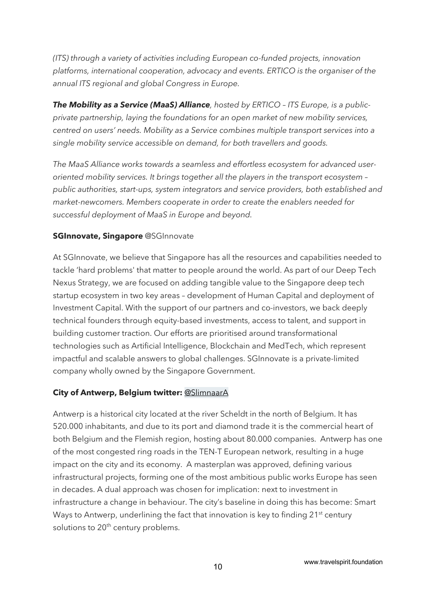*(ITS) through a variety of activities including European co-funded projects, innovation platforms, international cooperation, advocacy and events. ERTICO is the organiser of the annual ITS regional and global Congress in Europe.*

*The Mobility as a Service (MaaS) Alliance, hosted by ERTICO – ITS Europe, is a publicprivate partnership, laying the foundations for an open market of new mobility services, centred on users' needs. Mobility as a Service combines multiple transport services into a single mobility service accessible on demand, for both travellers and goods.*

*The MaaS Alliance works towards a seamless and effortless ecosystem for advanced useroriented mobility services. It brings together all the players in the transport ecosystem – public authorities, start-ups, system integrators and service providers, both established and market-newcomers. Members cooperate in order to create the enablers needed for successful deployment of MaaS in Europe and beyond.*

#### **SGInnovate, Singapore @SGInnovate**

At SGInnovate, we believe that Singapore has all the resources and capabilities needed to tackle 'hard problems' that matter to people around the world. As part of our Deep Tech Nexus Strategy, we are focused on adding tangible value to the Singapore deep tech startup ecosystem in two key areas – development of Human Capital and deployment of Investment Capital. With the support of our partners and co-investors, we back deeply technical founders through equity-based investments, access to talent, and support in building customer traction. Our efforts are prioritised around transformational technologies such as Artificial Intelligence, Blockchain and MedTech, which represent impactful and scalable answers to global challenges. SGInnovate is a private-limited company wholly owned by the Singapore Government.

#### **City of Antwerp, Belgium twitter:** @SlimnaarA

Antwerp is a historical city located at the river Scheldt in the north of Belgium. It has 520.000 inhabitants, and due to its port and diamond trade it is the commercial heart of both Belgium and the Flemish region, hosting about 80.000 companies. Antwerp has one of the most congested ring roads in the TEN-T European network, resulting in a huge impact on the city and its economy. A masterplan was approved, defining various infrastructural projects, forming one of the most ambitious public works Europe has seen in decades. A dual approach was chosen for implication: next to investment in infrastructure a change in behaviour. The city's baseline in doing this has become: Smart Ways to Antwerp, underlining the fact that innovation is key to finding 21<sup>st</sup> century solutions to 20<sup>th</sup> century problems.